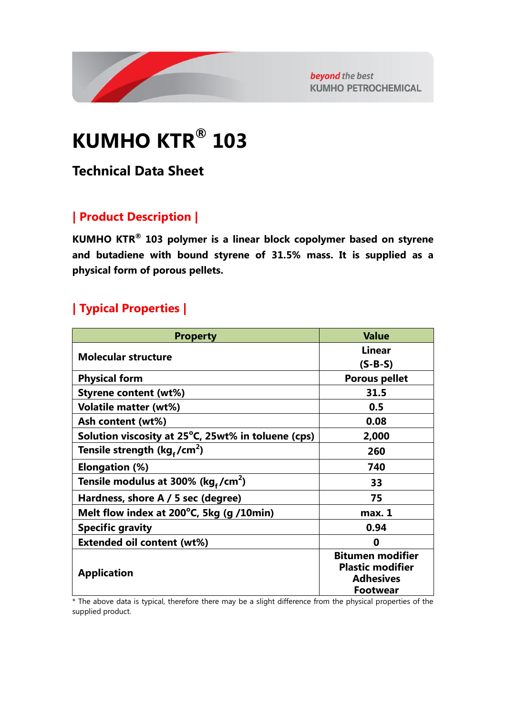

beyond the best **KUMHO PETROCHEMICAL** 

# **KUMHO KTR® 103**

## **Technical Data Sheet**

#### **| Product Description |**

**KUMHO KTR® 103 polymer is a linear block copolymer based on styrene and butadiene with bound styrene of 31.5% mass. It is supplied as a physical form of porous pellets.**

### **| Typical Properties |**

| <b>Value</b>                                       |
|----------------------------------------------------|
| <b>Linear</b>                                      |
| $(S-B-S)$                                          |
| <b>Porous pellet</b>                               |
| 31.5                                               |
| 0.5                                                |
| 0.08                                               |
| 2,000                                              |
| 260                                                |
| 740                                                |
| 33                                                 |
| 75                                                 |
| max. 1                                             |
| 0.94                                               |
| 0                                                  |
| <b>Bitumen modifier</b><br><b>Plastic modifier</b> |
| <b>Adhesives</b><br><b>Footwear</b>                |
|                                                    |

\* The above data is typical, therefore there may be a slight difference from the physical properties of the supplied product.